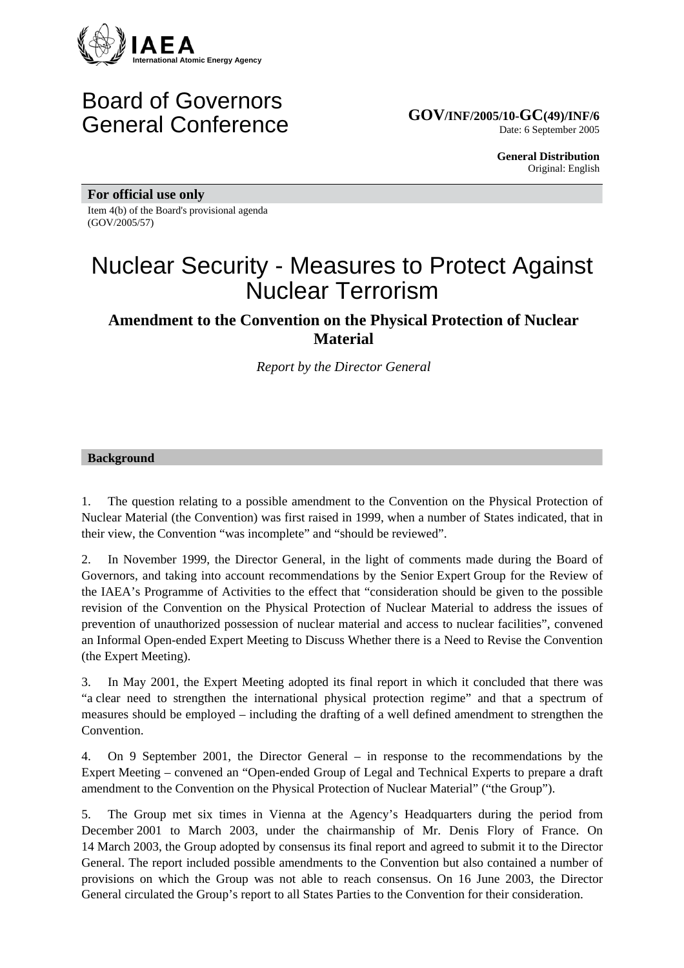

# Board of Governors GOV/INF/2005/10-GC(49)/INF/6<br>General Conference

Date: 6 September 2005

**General Distribution** Original: English

**For official use only** 

Item 4(b) of the Board's provisional agenda (GOV/2005/57)

# Nuclear Security - Measures to Protect Against Nuclear Terrorism

**Amendment to the Convention on the Physical Protection of Nuclear Material** 

*Report by the Director General* 

### **Background**

1. The question relating to a possible amendment to the Convention on the Physical Protection of Nuclear Material (the Convention) was first raised in 1999, when a number of States indicated, that in their view, the Convention "was incomplete" and "should be reviewed".

2. In November 1999, the Director General, in the light of comments made during the Board of Governors, and taking into account recommendations by the Senior Expert Group for the Review of the IAEA's Programme of Activities to the effect that "consideration should be given to the possible revision of the Convention on the Physical Protection of Nuclear Material to address the issues of prevention of unauthorized possession of nuclear material and access to nuclear facilities", convened an Informal Open-ended Expert Meeting to Discuss Whether there is a Need to Revise the Convention (the Expert Meeting).

3. In May 2001, the Expert Meeting adopted its final report in which it concluded that there was "a clear need to strengthen the international physical protection regime" and that a spectrum of measures should be employed – including the drafting of a well defined amendment to strengthen the Convention.

4. On 9 September 2001, the Director General – in response to the recommendations by the Expert Meeting – convened an "Open-ended Group of Legal and Technical Experts to prepare a draft amendment to the Convention on the Physical Protection of Nuclear Material" ("the Group").

5. The Group met six times in Vienna at the Agency's Headquarters during the period from December 2001 to March 2003, under the chairmanship of Mr. Denis Flory of France. On 14 March 2003, the Group adopted by consensus its final report and agreed to submit it to the Director General. The report included possible amendments to the Convention but also contained a number of provisions on which the Group was not able to reach consensus. On 16 June 2003, the Director General circulated the Group's report to all States Parties to the Convention for their consideration.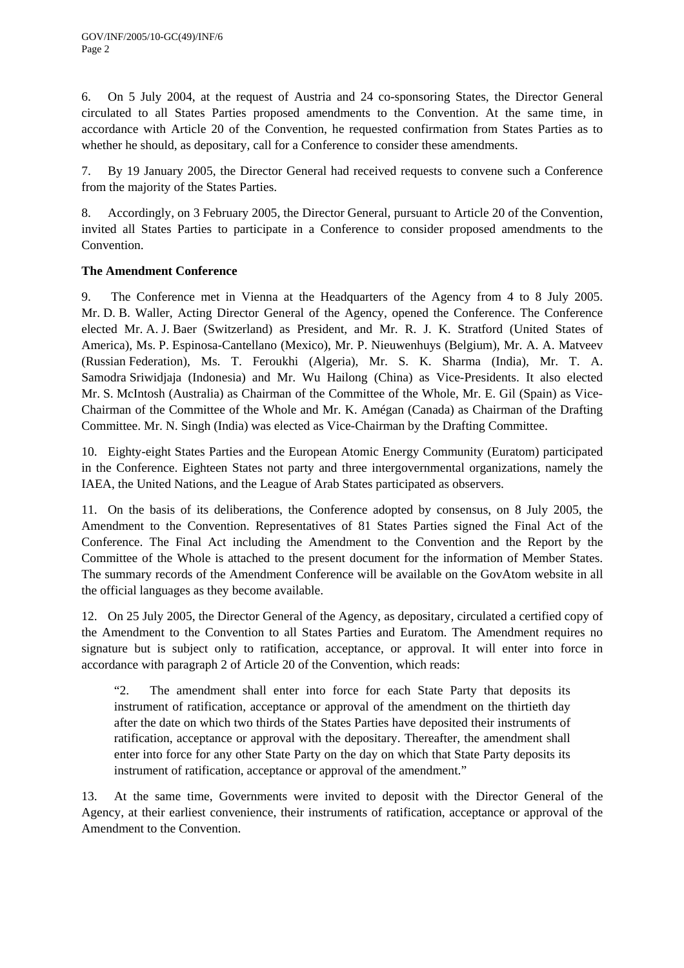6. On 5 July 2004, at the request of Austria and 24 co-sponsoring States, the Director General circulated to all States Parties proposed amendments to the Convention. At the same time, in accordance with Article 20 of the Convention, he requested confirmation from States Parties as to whether he should, as depositary, call for a Conference to consider these amendments.

7. By 19 January 2005, the Director General had received requests to convene such a Conference from the majority of the States Parties.

8. Accordingly, on 3 February 2005, the Director General, pursuant to Article 20 of the Convention, invited all States Parties to participate in a Conference to consider proposed amendments to the Convention.

### **The Amendment Conference**

9. The Conference met in Vienna at the Headquarters of the Agency from 4 to 8 July 2005. Mr. D. B. Waller, Acting Director General of the Agency, opened the Conference. The Conference elected Mr. A. J. Baer (Switzerland) as President, and Mr. R. J. K. Stratford (United States of America), Ms. P. Espinosa-Cantellano (Mexico), Mr. P. Nieuwenhuys (Belgium), Mr. A. A. Matveev (Russian Federation), Ms. T. Feroukhi (Algeria), Mr. S. K. Sharma (India), Mr. T. A. Samodra Sriwidjaja (Indonesia) and Mr. Wu Hailong (China) as Vice-Presidents. It also elected Mr. S. McIntosh (Australia) as Chairman of the Committee of the Whole, Mr. E. Gil (Spain) as Vice-Chairman of the Committee of the Whole and Mr. K. Amégan (Canada) as Chairman of the Drafting Committee. Mr. N. Singh (India) was elected as Vice-Chairman by the Drafting Committee.

10. Eighty-eight States Parties and the European Atomic Energy Community (Euratom) participated in the Conference. Eighteen States not party and three intergovernmental organizations, namely the IAEA, the United Nations, and the League of Arab States participated as observers.

11. On the basis of its deliberations, the Conference adopted by consensus, on 8 July 2005, the Amendment to the Convention. Representatives of 81 States Parties signed the Final Act of the Conference. The Final Act including the Amendment to the Convention and the Report by the Committee of the Whole is attached to the present document for the information of Member States. The summary records of the Amendment Conference will be available on the GovAtom website in all the official languages as they become available.

12. On 25 July 2005, the Director General of the Agency, as depositary, circulated a certified copy of the Amendment to the Convention to all States Parties and Euratom. The Amendment requires no signature but is subject only to ratification, acceptance, or approval. It will enter into force in accordance with paragraph 2 of Article 20 of the Convention, which reads:

"2. The amendment shall enter into force for each State Party that deposits its instrument of ratification, acceptance or approval of the amendment on the thirtieth day after the date on which two thirds of the States Parties have deposited their instruments of ratification, acceptance or approval with the depositary. Thereafter, the amendment shall enter into force for any other State Party on the day on which that State Party deposits its instrument of ratification, acceptance or approval of the amendment."

13. At the same time, Governments were invited to deposit with the Director General of the Agency, at their earliest convenience, their instruments of ratification, acceptance or approval of the Amendment to the Convention.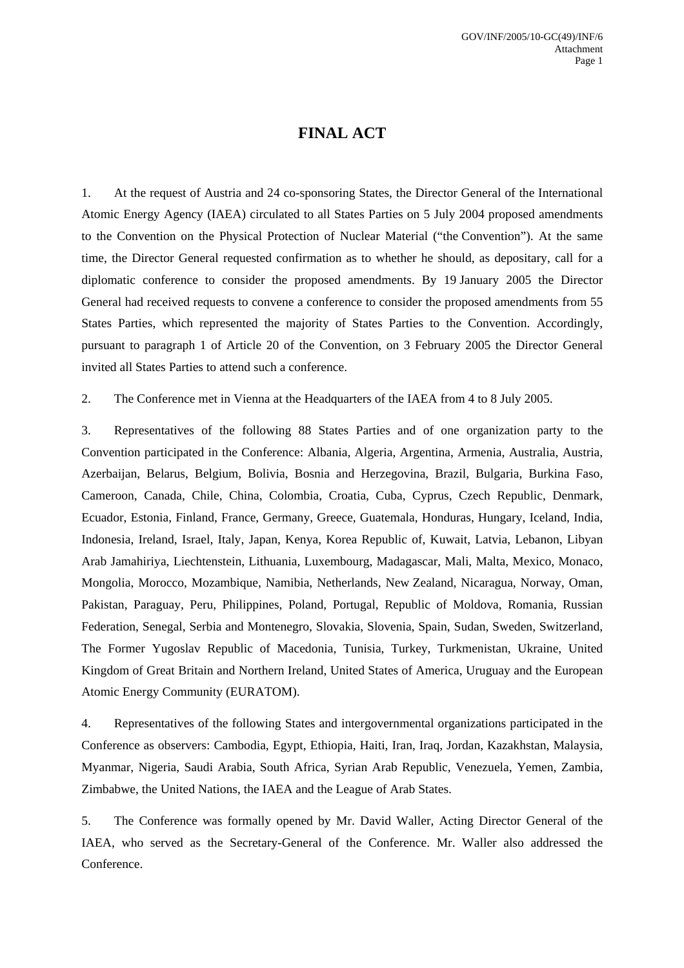# **FINAL ACT**

1. At the request of Austria and 24 co-sponsoring States, the Director General of the International Atomic Energy Agency (IAEA) circulated to all States Parties on 5 July 2004 proposed amendments to the Convention on the Physical Protection of Nuclear Material ("the Convention"). At the same time, the Director General requested confirmation as to whether he should, as depositary, call for a diplomatic conference to consider the proposed amendments. By 19 January 2005 the Director General had received requests to convene a conference to consider the proposed amendments from 55 States Parties, which represented the majority of States Parties to the Convention. Accordingly, pursuant to paragraph 1 of Article 20 of the Convention, on 3 February 2005 the Director General invited all States Parties to attend such a conference.

2. The Conference met in Vienna at the Headquarters of the IAEA from 4 to 8 July 2005.

3. Representatives of the following 88 States Parties and of one organization party to the Convention participated in the Conference: Albania, Algeria, Argentina, Armenia, Australia, Austria, Azerbaijan, Belarus, Belgium, Bolivia, Bosnia and Herzegovina, Brazil, Bulgaria, Burkina Faso, Cameroon, Canada, Chile, China, Colombia, Croatia, Cuba, Cyprus, Czech Republic, Denmark, Ecuador, Estonia, Finland, France, Germany, Greece, Guatemala, Honduras, Hungary, Iceland, India, Indonesia, Ireland, Israel, Italy, Japan, Kenya, Korea Republic of, Kuwait, Latvia, Lebanon, Libyan Arab Jamahiriya, Liechtenstein, Lithuania, Luxembourg, Madagascar, Mali, Malta, Mexico, Monaco, Mongolia, Morocco, Mozambique, Namibia, Netherlands, New Zealand, Nicaragua, Norway, Oman, Pakistan, Paraguay, Peru, Philippines, Poland, Portugal, Republic of Moldova, Romania, Russian Federation, Senegal, Serbia and Montenegro, Slovakia, Slovenia, Spain, Sudan, Sweden, Switzerland, The Former Yugoslav Republic of Macedonia, Tunisia, Turkey, Turkmenistan, Ukraine, United Kingdom of Great Britain and Northern Ireland, United States of America, Uruguay and the European Atomic Energy Community (EURATOM).

4. Representatives of the following States and intergovernmental organizations participated in the Conference as observers: Cambodia, Egypt, Ethiopia, Haiti, Iran, Iraq, Jordan, Kazakhstan, Malaysia, Myanmar, Nigeria, Saudi Arabia, South Africa, Syrian Arab Republic, Venezuela, Yemen, Zambia, Zimbabwe, the United Nations, the IAEA and the League of Arab States.

5. The Conference was formally opened by Mr. David Waller, Acting Director General of the IAEA, who served as the Secretary-General of the Conference. Mr. Waller also addressed the Conference.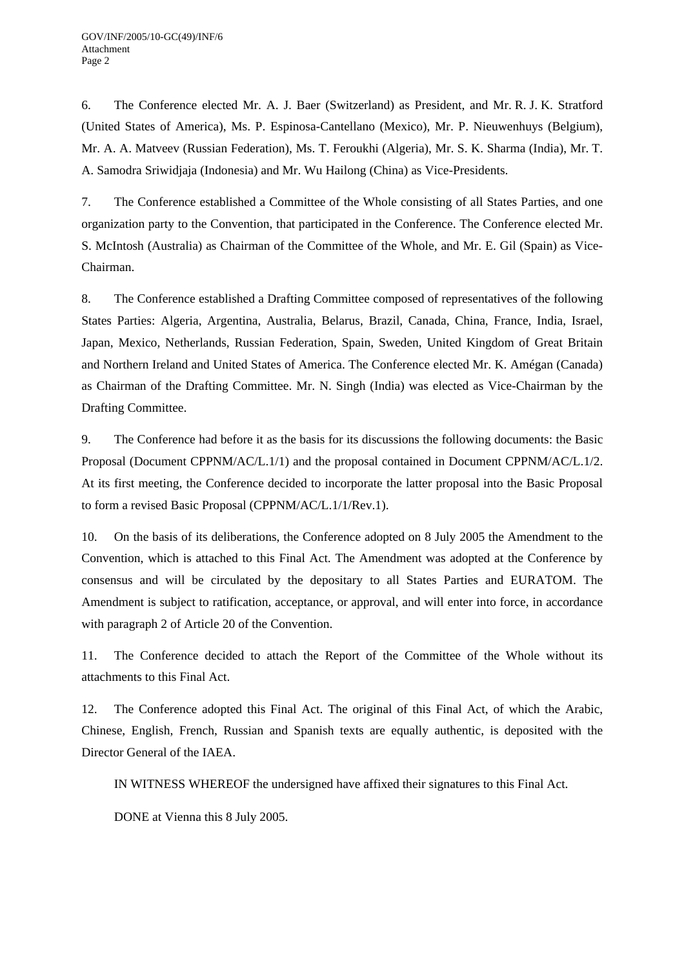6. The Conference elected Mr. A. J. Baer (Switzerland) as President, and Mr. R. J. K. Stratford (United States of America), Ms. P. Espinosa-Cantellano (Mexico), Mr. P. Nieuwenhuys (Belgium), Mr. A. A. Matveev (Russian Federation), Ms. T. Feroukhi (Algeria), Mr. S. K. Sharma (India), Mr. T. A. Samodra Sriwidjaja (Indonesia) and Mr. Wu Hailong (China) as Vice-Presidents.

7. The Conference established a Committee of the Whole consisting of all States Parties, and one organization party to the Convention, that participated in the Conference. The Conference elected Mr. S. McIntosh (Australia) as Chairman of the Committee of the Whole, and Mr. E. Gil (Spain) as Vice-Chairman.

8. The Conference established a Drafting Committee composed of representatives of the following States Parties: Algeria, Argentina, Australia, Belarus, Brazil, Canada, China, France, India, Israel, Japan, Mexico, Netherlands, Russian Federation, Spain, Sweden, United Kingdom of Great Britain and Northern Ireland and United States of America. The Conference elected Mr. K. Amégan (Canada) as Chairman of the Drafting Committee. Mr. N. Singh (India) was elected as Vice-Chairman by the Drafting Committee.

9. The Conference had before it as the basis for its discussions the following documents: the Basic Proposal (Document CPPNM/AC/L.1/1) and the proposal contained in Document CPPNM/AC/L.1/2. At its first meeting, the Conference decided to incorporate the latter proposal into the Basic Proposal to form a revised Basic Proposal (CPPNM/AC/L.1/1/Rev.1).

10. On the basis of its deliberations, the Conference adopted on 8 July 2005 the Amendment to the Convention, which is attached to this Final Act. The Amendment was adopted at the Conference by consensus and will be circulated by the depositary to all States Parties and EURATOM. The Amendment is subject to ratification, acceptance, or approval, and will enter into force, in accordance with paragraph 2 of Article 20 of the Convention.

11. The Conference decided to attach the Report of the Committee of the Whole without its attachments to this Final Act.

12. The Conference adopted this Final Act. The original of this Final Act, of which the Arabic, Chinese, English, French, Russian and Spanish texts are equally authentic, is deposited with the Director General of the IAEA.

IN WITNESS WHEREOF the undersigned have affixed their signatures to this Final Act.

DONE at Vienna this 8 July 2005.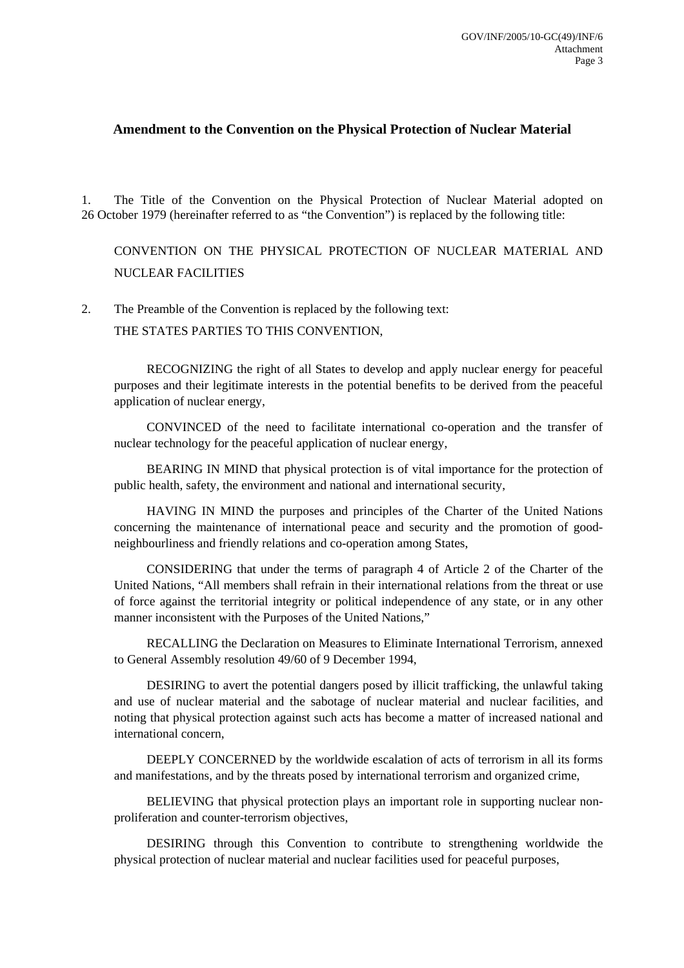#### **Amendment to the Convention on the Physical Protection of Nuclear Material**

1. The Title of the Convention on the Physical Protection of Nuclear Material adopted on 26 October 1979 (hereinafter referred to as "the Convention") is replaced by the following title:

CONVENTION ON THE PHYSICAL PROTECTION OF NUCLEAR MATERIAL AND NUCLEAR FACILITIES

2. The Preamble of the Convention is replaced by the following text: THE STATES PARTIES TO THIS CONVENTION,

 RECOGNIZING the right of all States to develop and apply nuclear energy for peaceful purposes and their legitimate interests in the potential benefits to be derived from the peaceful application of nuclear energy,

 CONVINCED of the need to facilitate international co-operation and the transfer of nuclear technology for the peaceful application of nuclear energy,

 BEARING IN MIND that physical protection is of vital importance for the protection of public health, safety, the environment and national and international security,

 HAVING IN MIND the purposes and principles of the Charter of the United Nations concerning the maintenance of international peace and security and the promotion of goodneighbourliness and friendly relations and co-operation among States,

 CONSIDERING that under the terms of paragraph 4 of Article 2 of the Charter of the United Nations, "All members shall refrain in their international relations from the threat or use of force against the territorial integrity or political independence of any state, or in any other manner inconsistent with the Purposes of the United Nations,"

 RECALLING the Declaration on Measures to Eliminate International Terrorism, annexed to General Assembly resolution 49/60 of 9 December 1994,

 DESIRING to avert the potential dangers posed by illicit trafficking, the unlawful taking and use of nuclear material and the sabotage of nuclear material and nuclear facilities, and noting that physical protection against such acts has become a matter of increased national and international concern,

 DEEPLY CONCERNED by the worldwide escalation of acts of terrorism in all its forms and manifestations, and by the threats posed by international terrorism and organized crime,

 BELIEVING that physical protection plays an important role in supporting nuclear nonproliferation and counter-terrorism objectives,

 DESIRING through this Convention to contribute to strengthening worldwide the physical protection of nuclear material and nuclear facilities used for peaceful purposes,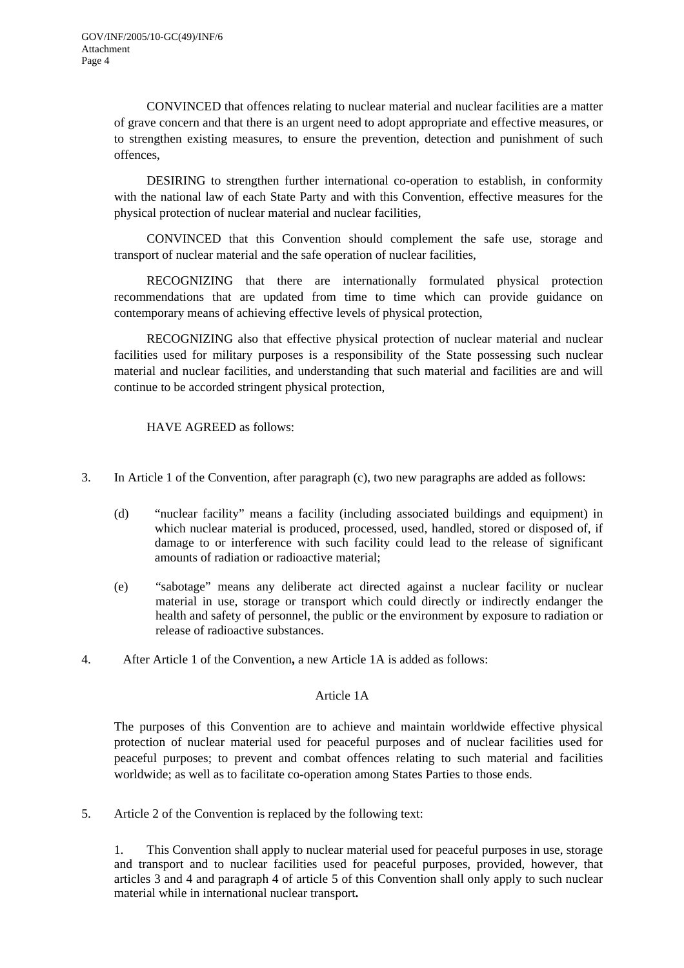CONVINCED that offences relating to nuclear material and nuclear facilities are a matter of grave concern and that there is an urgent need to adopt appropriate and effective measures, or to strengthen existing measures, to ensure the prevention, detection and punishment of such offences,

 DESIRING to strengthen further international co-operation to establish, in conformity with the national law of each State Party and with this Convention, effective measures for the physical protection of nuclear material and nuclear facilities,

 CONVINCED that this Convention should complement the safe use, storage and transport of nuclear material and the safe operation of nuclear facilities,

 RECOGNIZING that there are internationally formulated physical protection recommendations that are updated from time to time which can provide guidance on contemporary means of achieving effective levels of physical protection,

 RECOGNIZING also that effective physical protection of nuclear material and nuclear facilities used for military purposes is a responsibility of the State possessing such nuclear material and nuclear facilities, and understanding that such material and facilities are and will continue to be accorded stringent physical protection,

HAVE AGREED as follows:

- 3. In Article 1 of the Convention, after paragraph (c), two new paragraphs are added as follows:
	- (d) "nuclear facility" means a facility (including associated buildings and equipment) in which nuclear material is produced, processed, used, handled, stored or disposed of, if damage to or interference with such facility could lead to the release of significant amounts of radiation or radioactive material;
	- (e) "sabotage" means any deliberate act directed against a nuclear facility or nuclear material in use, storage or transport which could directly or indirectly endanger the health and safety of personnel, the public or the environment by exposure to radiation or release of radioactive substances.
- 4. After Article 1 of the Convention**,** a new Article 1A is added as follows:

#### Article 1A

The purposes of this Convention are to achieve and maintain worldwide effective physical protection of nuclear material used for peaceful purposes and of nuclear facilities used for peaceful purposes; to prevent and combat offences relating to such material and facilities worldwide; as well as to facilitate co-operation among States Parties to those ends.

5. Article 2 of the Convention is replaced by the following text:

1. This Convention shall apply to nuclear material used for peaceful purposes in use, storage and transport and to nuclear facilities used for peaceful purposes, provided, however, that articles 3 and 4 and paragraph 4 of article 5 of this Convention shall only apply to such nuclear material while in international nuclear transport**.**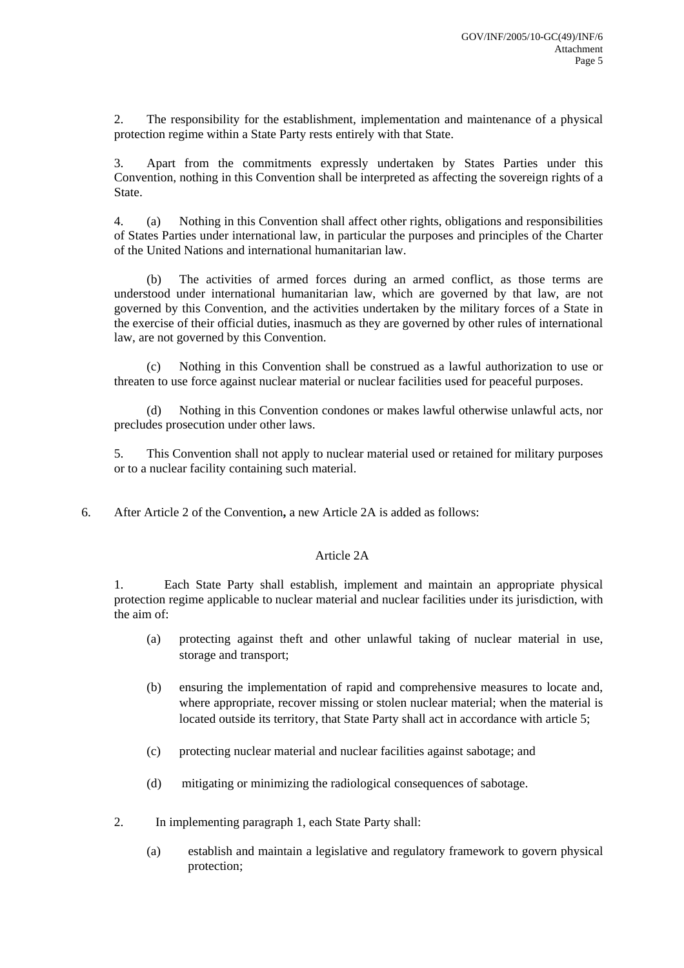2. The responsibility for the establishment, implementation and maintenance of a physical protection regime within a State Party rests entirely with that State.

3. Apart from the commitments expressly undertaken by States Parties under this Convention, nothing in this Convention shall be interpreted as affecting the sovereign rights of a State.

4. (a) Nothing in this Convention shall affect other rights, obligations and responsibilities of States Parties under international law, in particular the purposes and principles of the Charter of the United Nations and international humanitarian law.

 (b) The activities of armed forces during an armed conflict, as those terms are understood under international humanitarian law, which are governed by that law, are not governed by this Convention, and the activities undertaken by the military forces of a State in the exercise of their official duties, inasmuch as they are governed by other rules of international law, are not governed by this Convention.

 (c) Nothing in this Convention shall be construed as a lawful authorization to use or threaten to use force against nuclear material or nuclear facilities used for peaceful purposes.

 (d) Nothing in this Convention condones or makes lawful otherwise unlawful acts, nor precludes prosecution under other laws.

5. This Convention shall not apply to nuclear material used or retained for military purposes or to a nuclear facility containing such material.

6. After Article 2 of the Convention**,** a new Article 2A is added as follows:

#### Article 2A

1. Each State Party shall establish, implement and maintain an appropriate physical protection regime applicable to nuclear material and nuclear facilities under its jurisdiction, with the aim of:

- (a) protecting against theft and other unlawful taking of nuclear material in use, storage and transport;
- (b) ensuring the implementation of rapid and comprehensive measures to locate and, where appropriate, recover missing or stolen nuclear material; when the material is located outside its territory, that State Party shall act in accordance with article 5;
- (c) protecting nuclear material and nuclear facilities against sabotage; and
- (d) mitigating or minimizing the radiological consequences of sabotage.
- 2. In implementing paragraph 1, each State Party shall:
	- (a) establish and maintain a legislative and regulatory framework to govern physical protection;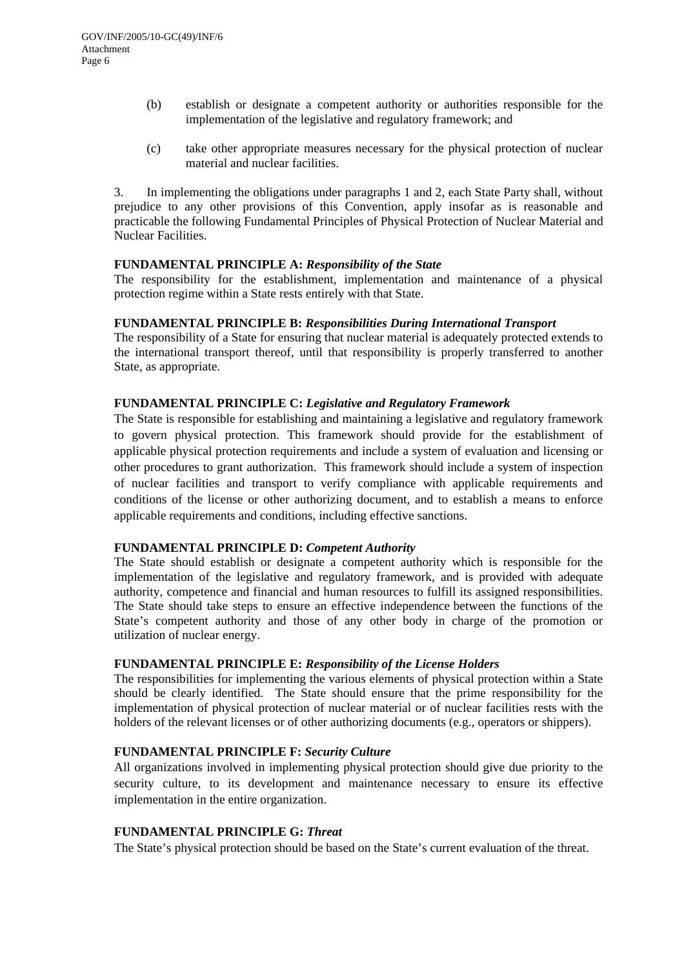- (b) establish or designate a competent authority or authorities responsible for the implementation of the legislative and regulatory framework; and
- (c) take other appropriate measures necessary for the physical protection of nuclear material and nuclear facilities.

3. In implementing the obligations under paragraphs 1 and 2, each State Party shall, without prejudice to any other provisions of this Convention, apply insofar as is reasonable and practicable the following Fundamental Principles of Physical Protection of Nuclear Material and Nuclear Facilities.

#### **FUNDAMENTAL PRINCIPLE A:** *Responsibility of the State*

The responsibility for the establishment, implementation and maintenance of a physical protection regime within a State rests entirely with that State.

#### **FUNDAMENTAL PRINCIPLE B:** *Responsibilities During International Transport*

The responsibility of a State for ensuring that nuclear material is adequately protected extends to the international transport thereof, until that responsibility is properly transferred to another State, as appropriate.

#### **FUNDAMENTAL PRINCIPLE C:** *Legislative and Regulatory Framework*

The State is responsible for establishing and maintaining a legislative and regulatory framework to govern physical protection. This framework should provide for the establishment of applicable physical protection requirements and include a system of evaluation and licensing or other procedures to grant authorization. This framework should include a system of inspection of nuclear facilities and transport to verify compliance with applicable requirements and conditions of the license or other authorizing document, and to establish a means to enforce applicable requirements and conditions, including effective sanctions.

#### **FUNDAMENTAL PRINCIPLE D:** *Competent Authority*

The State should establish or designate a competent authority which is responsible for the implementation of the legislative and regulatory framework, and is provided with adequate authority, competence and financial and human resources to fulfill its assigned responsibilities. The State should take steps to ensure an effective independence between the functions of the State's competent authority and those of any other body in charge of the promotion or utilization of nuclear energy.

#### **FUNDAMENTAL PRINCIPLE E:** *Responsibility of the License Holders*

The responsibilities for implementing the various elements of physical protection within a State should be clearly identified. The State should ensure that the prime responsibility for the implementation of physical protection of nuclear material or of nuclear facilities rests with the holders of the relevant licenses or of other authorizing documents (e.g., operators or shippers).

#### **FUNDAMENTAL PRINCIPLE F:** *Security Culture*

All organizations involved in implementing physical protection should give due priority to the security culture, to its development and maintenance necessary to ensure its effective implementation in the entire organization.

#### **FUNDAMENTAL PRINCIPLE G:** *Threat*

The State's physical protection should be based on the State's current evaluation of the threat.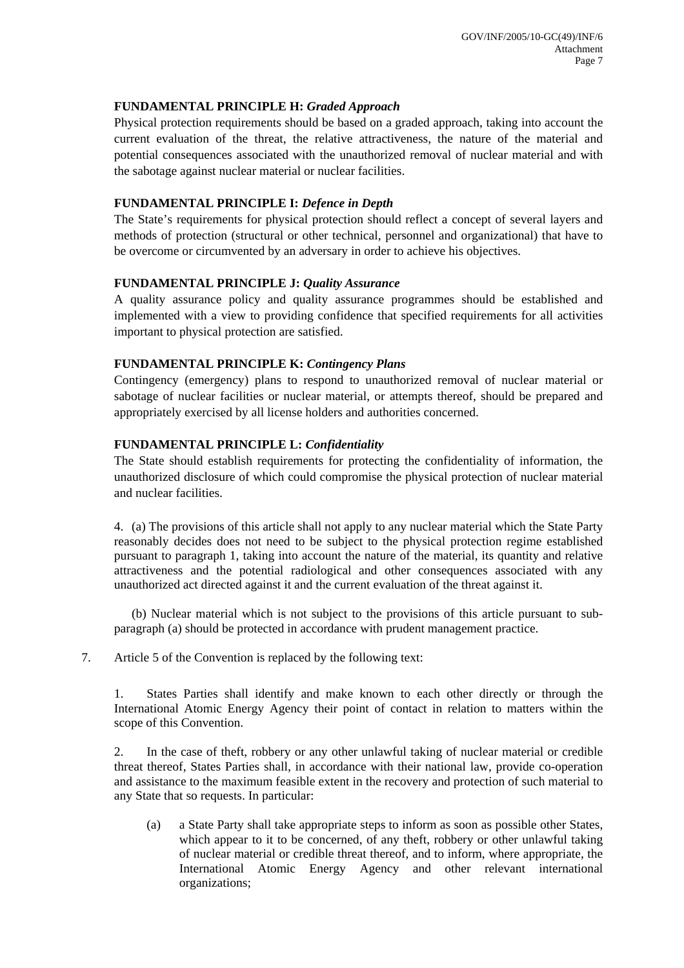#### **FUNDAMENTAL PRINCIPLE H:** *Graded Approach*

Physical protection requirements should be based on a graded approach, taking into account the current evaluation of the threat, the relative attractiveness, the nature of the material and potential consequences associated with the unauthorized removal of nuclear material and with the sabotage against nuclear material or nuclear facilities.

#### **FUNDAMENTAL PRINCIPLE I:** *Defence in Depth*

The State's requirements for physical protection should reflect a concept of several layers and methods of protection (structural or other technical, personnel and organizational) that have to be overcome or circumvented by an adversary in order to achieve his objectives.

#### **FUNDAMENTAL PRINCIPLE J:** *Quality Assurance*

A quality assurance policy and quality assurance programmes should be established and implemented with a view to providing confidence that specified requirements for all activities important to physical protection are satisfied.

#### **FUNDAMENTAL PRINCIPLE K:** *Contingency Plans*

Contingency (emergency) plans to respond to unauthorized removal of nuclear material or sabotage of nuclear facilities or nuclear material, or attempts thereof, should be prepared and appropriately exercised by all license holders and authorities concerned.

#### **FUNDAMENTAL PRINCIPLE L:** *Confidentiality*

The State should establish requirements for protecting the confidentiality of information, the unauthorized disclosure of which could compromise the physical protection of nuclear material and nuclear facilities.

4. (a) The provisions of this article shall not apply to any nuclear material which the State Party reasonably decides does not need to be subject to the physical protection regime established pursuant to paragraph 1, taking into account the nature of the material, its quantity and relative attractiveness and the potential radiological and other consequences associated with any unauthorized act directed against it and the current evaluation of the threat against it.

 (b) Nuclear material which is not subject to the provisions of this article pursuant to subparagraph (a) should be protected in accordance with prudent management practice.

7. Article 5 of the Convention is replaced by the following text:

1. States Parties shall identify and make known to each other directly or through the International Atomic Energy Agency their point of contact in relation to matters within the scope of this Convention.

2. In the case of theft, robbery or any other unlawful taking of nuclear material or credible threat thereof, States Parties shall, in accordance with their national law, provide co-operation and assistance to the maximum feasible extent in the recovery and protection of such material to any State that so requests. In particular:

(a) a State Party shall take appropriate steps to inform as soon as possible other States, which appear to it to be concerned, of any theft, robbery or other unlawful taking of nuclear material or credible threat thereof, and to inform, where appropriate, the International Atomic Energy Agency and other relevant international organizations;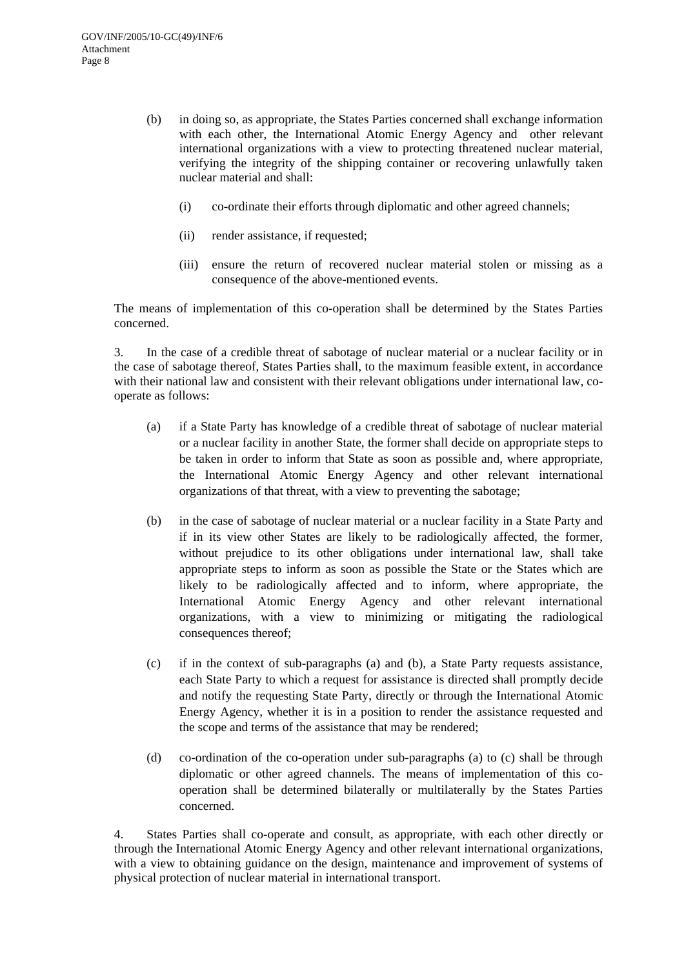- (b) in doing so, as appropriate, the States Parties concerned shall exchange information with each other, the International Atomic Energy Agency and other relevant international organizations with a view to protecting threatened nuclear material, verifying the integrity of the shipping container or recovering unlawfully taken nuclear material and shall:
	- (i) co-ordinate their efforts through diplomatic and other agreed channels;
	- (ii) render assistance, if requested;
	- (iii) ensure the return of recovered nuclear material stolen or missing as a consequence of the above-mentioned events.

The means of implementation of this co-operation shall be determined by the States Parties concerned.

3. In the case of a credible threat of sabotage of nuclear material or a nuclear facility or in the case of sabotage thereof, States Parties shall, to the maximum feasible extent, in accordance with their national law and consistent with their relevant obligations under international law, cooperate as follows:

- (a) if a State Party has knowledge of a credible threat of sabotage of nuclear material or a nuclear facility in another State, the former shall decide on appropriate steps to be taken in order to inform that State as soon as possible and, where appropriate, the International Atomic Energy Agency and other relevant international organizations of that threat, with a view to preventing the sabotage;
- (b) in the case of sabotage of nuclear material or a nuclear facility in a State Party and if in its view other States are likely to be radiologically affected, the former, without prejudice to its other obligations under international law, shall take appropriate steps to inform as soon as possible the State or the States which are likely to be radiologically affected and to inform, where appropriate, the International Atomic Energy Agency and other relevant international organizations, with a view to minimizing or mitigating the radiological consequences thereof;
- (c) if in the context of sub-paragraphs (a) and (b), a State Party requests assistance, each State Party to which a request for assistance is directed shall promptly decide and notify the requesting State Party, directly or through the International Atomic Energy Agency, whether it is in a position to render the assistance requested and the scope and terms of the assistance that may be rendered;
- (d) co-ordination of the co-operation under sub-paragraphs (a) to (c) shall be through diplomatic or other agreed channels. The means of implementation of this cooperation shall be determined bilaterally or multilaterally by the States Parties concerned.

4. States Parties shall co-operate and consult, as appropriate, with each other directly or through the International Atomic Energy Agency and other relevant international organizations, with a view to obtaining guidance on the design, maintenance and improvement of systems of physical protection of nuclear material in international transport.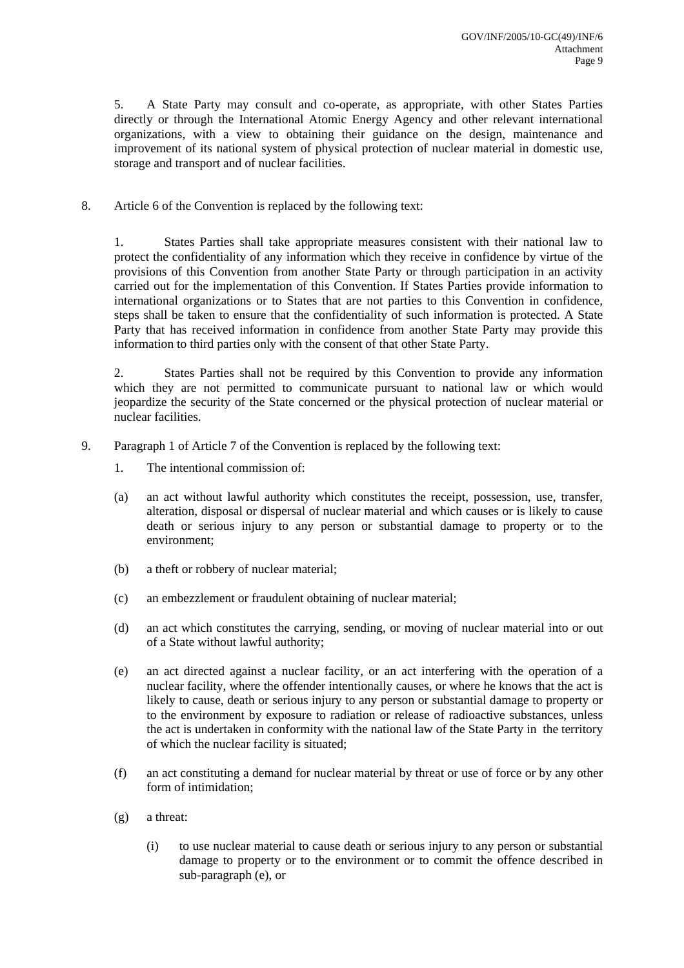5. A State Party may consult and co-operate, as appropriate, with other States Parties directly or through the International Atomic Energy Agency and other relevant international organizations, with a view to obtaining their guidance on the design, maintenance and improvement of its national system of physical protection of nuclear material in domestic use, storage and transport and of nuclear facilities.

8. Article 6 of the Convention is replaced by the following text:

1. States Parties shall take appropriate measures consistent with their national law to protect the confidentiality of any information which they receive in confidence by virtue of the provisions of this Convention from another State Party or through participation in an activity carried out for the implementation of this Convention. If States Parties provide information to international organizations or to States that are not parties to this Convention in confidence, steps shall be taken to ensure that the confidentiality of such information is protected. A State Party that has received information in confidence from another State Party may provide this information to third parties only with the consent of that other State Party.

2. States Parties shall not be required by this Convention to provide any information which they are not permitted to communicate pursuant to national law or which would jeopardize the security of the State concerned or the physical protection of nuclear material or nuclear facilities.

- 9. Paragraph 1 of Article 7 of the Convention is replaced by the following text:
	- 1. The intentional commission of:
	- (a) an act without lawful authority which constitutes the receipt, possession, use, transfer, alteration, disposal or dispersal of nuclear material and which causes or is likely to cause death or serious injury to any person or substantial damage to property or to the environment;
	- (b) a theft or robbery of nuclear material;
	- (c) an embezzlement or fraudulent obtaining of nuclear material;
	- (d) an act which constitutes the carrying, sending, or moving of nuclear material into or out of a State without lawful authority;
	- (e) an act directed against a nuclear facility, or an act interfering with the operation of a nuclear facility, where the offender intentionally causes, or where he knows that the act is likely to cause, death or serious injury to any person or substantial damage to property or to the environment by exposure to radiation or release of radioactive substances, unless the act is undertaken in conformity with the national law of the State Party in the territory of which the nuclear facility is situated;
	- (f) an act constituting a demand for nuclear material by threat or use of force or by any other form of intimidation;
	- (g) a threat:
		- (i) to use nuclear material to cause death or serious injury to any person or substantial damage to property or to the environment or to commit the offence described in sub-paragraph (e), or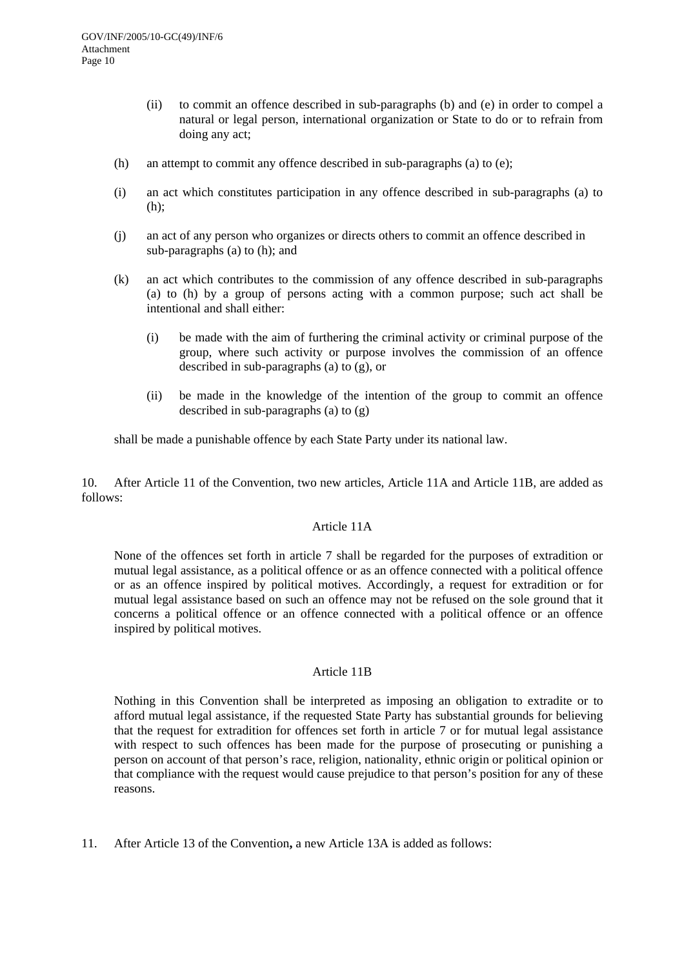- (ii) to commit an offence described in sub-paragraphs (b) and (e) in order to compel a natural or legal person, international organization or State to do or to refrain from doing any act;
- (h) an attempt to commit any offence described in sub-paragraphs (a) to (e);
- (i) an act which constitutes participation in any offence described in sub-paragraphs (a) to (h);
- (j) an act of any person who organizes or directs others to commit an offence described in sub-paragraphs (a) to (h); and
- (k) an act which contributes to the commission of any offence described in sub-paragraphs (a) to (h) by a group of persons acting with a common purpose; such act shall be intentional and shall either:
	- (i) be made with the aim of furthering the criminal activity or criminal purpose of the group, where such activity or purpose involves the commission of an offence described in sub-paragraphs (a) to (g), or
	- (ii) be made in the knowledge of the intention of the group to commit an offence described in sub-paragraphs (a) to (g)

shall be made a punishable offence by each State Party under its national law.

10. After Article 11 of the Convention, two new articles, Article 11A and Article 11B, are added as follows:

#### Article 11A

None of the offences set forth in article 7 shall be regarded for the purposes of extradition or mutual legal assistance, as a political offence or as an offence connected with a political offence or as an offence inspired by political motives. Accordingly, a request for extradition or for mutual legal assistance based on such an offence may not be refused on the sole ground that it concerns a political offence or an offence connected with a political offence or an offence inspired by political motives.

#### Article 11B

Nothing in this Convention shall be interpreted as imposing an obligation to extradite or to afford mutual legal assistance, if the requested State Party has substantial grounds for believing that the request for extradition for offences set forth in article 7 or for mutual legal assistance with respect to such offences has been made for the purpose of prosecuting or punishing a person on account of that person's race, religion, nationality, ethnic origin or political opinion or that compliance with the request would cause prejudice to that person's position for any of these reasons.

11. After Article 13 of the Convention**,** a new Article 13A is added as follows: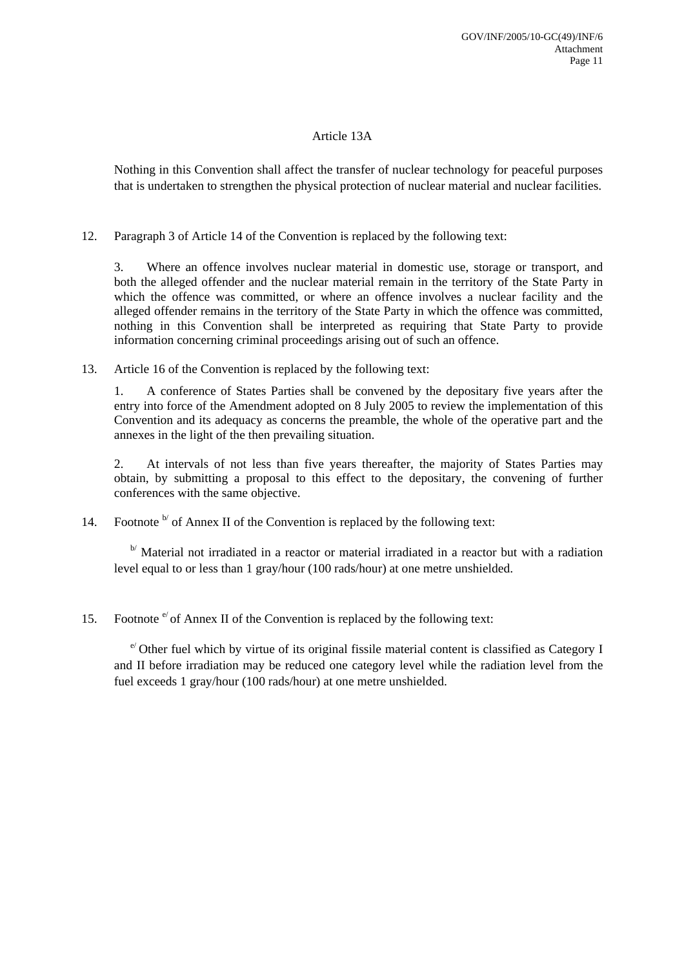#### Article 13A

Nothing in this Convention shall affect the transfer of nuclear technology for peaceful purposes that is undertaken to strengthen the physical protection of nuclear material and nuclear facilities.

12. Paragraph 3 of Article 14 of the Convention is replaced by the following text:

3. Where an offence involves nuclear material in domestic use, storage or transport, and both the alleged offender and the nuclear material remain in the territory of the State Party in which the offence was committed, or where an offence involves a nuclear facility and the alleged offender remains in the territory of the State Party in which the offence was committed, nothing in this Convention shall be interpreted as requiring that State Party to provide information concerning criminal proceedings arising out of such an offence.

13. Article 16 of the Convention is replaced by the following text:

1. A conference of States Parties shall be convened by the depositary five years after the entry into force of the Amendment adopted on 8 July 2005 to review the implementation of this Convention and its adequacy as concerns the preamble, the whole of the operative part and the annexes in the light of the then prevailing situation.

2. At intervals of not less than five years thereafter, the majority of States Parties may obtain, by submitting a proposal to this effect to the depositary, the convening of further conferences with the same objective.

14. Footnote  $\mathbf{b}'$  of Annex II of the Convention is replaced by the following text:

b/ Material not irradiated in a reactor or material irradiated in a reactor but with a radiation level equal to or less than 1 gray/hour (100 rads/hour) at one metre unshielded.

15. Footnote  $e^{i}$  of Annex II of the Convention is replaced by the following text:

 $e^{i}$  Other fuel which by virtue of its original fissile material content is classified as Category I and II before irradiation may be reduced one category level while the radiation level from the fuel exceeds 1 gray/hour (100 rads/hour) at one metre unshielded.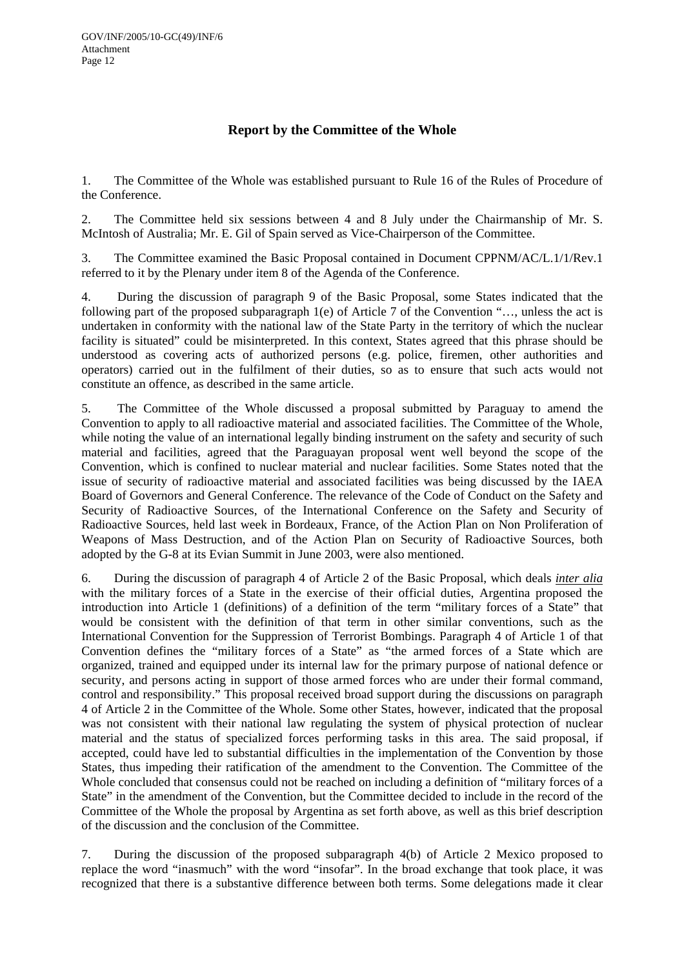## **Report by the Committee of the Whole**

1. The Committee of the Whole was established pursuant to Rule 16 of the Rules of Procedure of the Conference.

2. The Committee held six sessions between 4 and 8 July under the Chairmanship of Mr. S. McIntosh of Australia; Mr. E. Gil of Spain served as Vice-Chairperson of the Committee.

3. The Committee examined the Basic Proposal contained in Document CPPNM/AC/L.1/1/Rev.1 referred to it by the Plenary under item 8 of the Agenda of the Conference.

4. During the discussion of paragraph 9 of the Basic Proposal, some States indicated that the following part of the proposed subparagraph 1(e) of Article 7 of the Convention "…, unless the act is undertaken in conformity with the national law of the State Party in the territory of which the nuclear facility is situated" could be misinterpreted. In this context, States agreed that this phrase should be understood as covering acts of authorized persons (e.g. police, firemen, other authorities and operators) carried out in the fulfilment of their duties, so as to ensure that such acts would not constitute an offence, as described in the same article.

5. The Committee of the Whole discussed a proposal submitted by Paraguay to amend the Convention to apply to all radioactive material and associated facilities. The Committee of the Whole, while noting the value of an international legally binding instrument on the safety and security of such material and facilities, agreed that the Paraguayan proposal went well beyond the scope of the Convention, which is confined to nuclear material and nuclear facilities. Some States noted that the issue of security of radioactive material and associated facilities was being discussed by the IAEA Board of Governors and General Conference. The relevance of the Code of Conduct on the Safety and Security of Radioactive Sources, of the International Conference on the Safety and Security of Radioactive Sources, held last week in Bordeaux, France, of the Action Plan on Non Proliferation of Weapons of Mass Destruction, and of the Action Plan on Security of Radioactive Sources, both adopted by the G-8 at its Evian Summit in June 2003, were also mentioned.

6. During the discussion of paragraph 4 of Article 2 of the Basic Proposal, which deals *inter alia* with the military forces of a State in the exercise of their official duties, Argentina proposed the introduction into Article 1 (definitions) of a definition of the term "military forces of a State" that would be consistent with the definition of that term in other similar conventions, such as the International Convention for the Suppression of Terrorist Bombings. Paragraph 4 of Article 1 of that Convention defines the "military forces of a State" as "the armed forces of a State which are organized, trained and equipped under its internal law for the primary purpose of national defence or security, and persons acting in support of those armed forces who are under their formal command, control and responsibility." This proposal received broad support during the discussions on paragraph 4 of Article 2 in the Committee of the Whole. Some other States, however, indicated that the proposal was not consistent with their national law regulating the system of physical protection of nuclear material and the status of specialized forces performing tasks in this area. The said proposal, if accepted, could have led to substantial difficulties in the implementation of the Convention by those States, thus impeding their ratification of the amendment to the Convention. The Committee of the Whole concluded that consensus could not be reached on including a definition of "military forces of a State" in the amendment of the Convention, but the Committee decided to include in the record of the Committee of the Whole the proposal by Argentina as set forth above, as well as this brief description of the discussion and the conclusion of the Committee.

7. During the discussion of the proposed subparagraph 4(b) of Article 2 Mexico proposed to replace the word "inasmuch" with the word "insofar". In the broad exchange that took place, it was recognized that there is a substantive difference between both terms. Some delegations made it clear